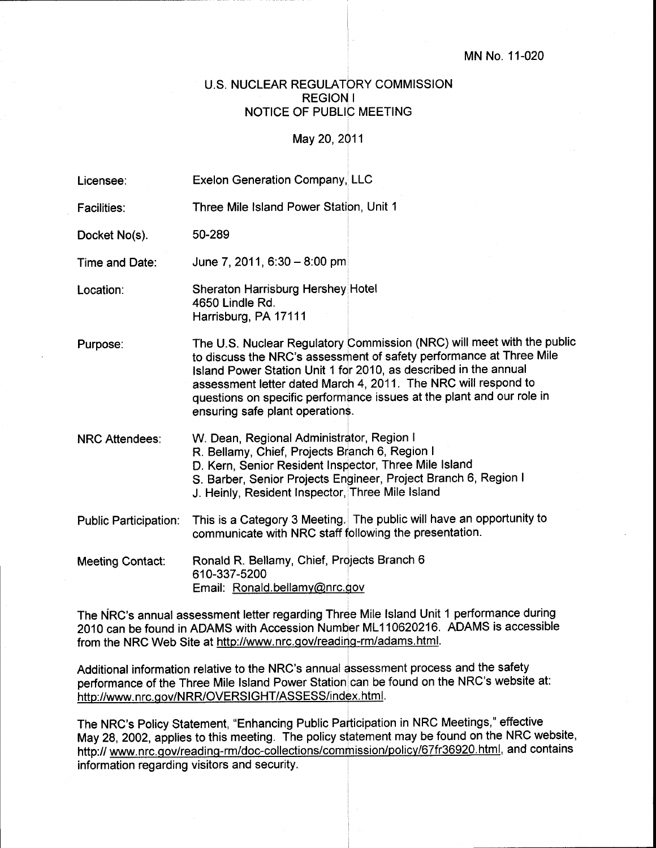## U.S. NUCLEAR REGULATORY COMMISSION REGION <sup>I</sup> NOTICE OF PUBLIC MEETING

May 20,2Q11

| Licensee:                    | <b>Exelon Generation Company, LLC</b>                                                                                                                                                                    |                                                                                                                                                                                                                                                                                                                                                              |
|------------------------------|----------------------------------------------------------------------------------------------------------------------------------------------------------------------------------------------------------|--------------------------------------------------------------------------------------------------------------------------------------------------------------------------------------------------------------------------------------------------------------------------------------------------------------------------------------------------------------|
| Facilities:                  | Three Mile Island Power Station, Unit 1                                                                                                                                                                  |                                                                                                                                                                                                                                                                                                                                                              |
| Docket No(s).                | 50-289                                                                                                                                                                                                   |                                                                                                                                                                                                                                                                                                                                                              |
| Time and Date:               | June 7, 2011, 6:30 - 8:00 pm                                                                                                                                                                             |                                                                                                                                                                                                                                                                                                                                                              |
| Location:                    | Sheraton Harrisburg Hershey Hotel<br>4650 Lindle Rd.<br>Harrisburg, PA 17111                                                                                                                             |                                                                                                                                                                                                                                                                                                                                                              |
| Purpose:                     | ensuring safe plant operations.                                                                                                                                                                          | The U.S. Nuclear Regulatory Commission (NRC) will meet with the public<br>to discuss the NRC's assessment of safety performance at Three Mile<br>Island Power Station Unit 1 for 2010, as described in the annual<br>assessment letter dated March 4, 2011. The NRC will respond to<br>questions on specific performance issues at the plant and our role in |
| <b>NRC Attendees:</b>        | W. Dean, Regional Administrator, Region I<br>R. Bellamy, Chief, Projects Branch 6, Region I<br>D. Kern, Senior Resident Inspector, Three Mile Island<br>J. Heinly, Resident Inspector, Three Mile Island | S. Barber, Senior Projects Engineer, Project Branch 6, Region I                                                                                                                                                                                                                                                                                              |
| <b>Public Participation:</b> | communicate with NRC staff following the presentation.                                                                                                                                                   | This is a Category 3 Meeting. The public will have an opportunity to                                                                                                                                                                                                                                                                                         |
| <b>Meeting Contact:</b>      | Ronald R. Bellamy, Chief, Projects Branch 6<br>610-337-5200<br>Email: Ronald.bellamy@nrc.gov                                                                                                             |                                                                                                                                                                                                                                                                                                                                                              |

The NRC's annual assessment letter regarding Three Mile lsland Unit 1 performance during from the NRC Web Site at http://www.nrc.gov/reading-rm/adams.html.

Additional information relative to the NRC's annual dssessment process and the safety performance of the Three Mile Island Power Station can be found on the NRC's website at: http://www.nrc.gov/NRR/OVERSIGHT/ASSESS/index.html.

The NRC's Policy Statement, "Enhancing Public Palticipation in NRC Meetings," effective May 28, 2002, applies to this meeting. The policy statement may be found on the NRC website, http:// www.nrc.gov/reading-rm/doc-collections/commission/policy/67fr36920.html, and contains information regarding visitors and security.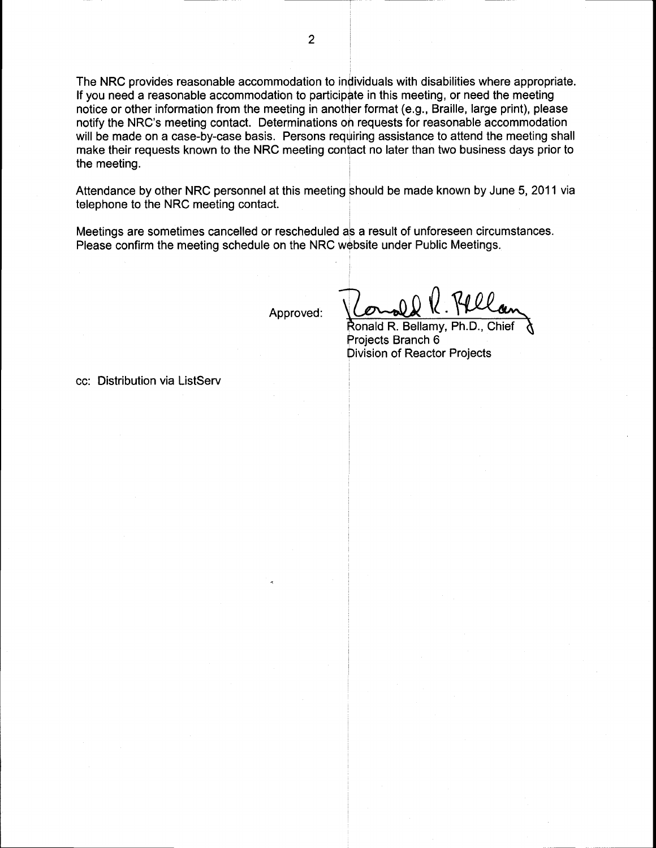The NRC provides reasonable accommodation to individuals with disabilities where appropriate. If you need a reasonable accommodation to participate in this meeting, or need the meeting notice or other information from the meeting in another format (e.9., Braille, large print), please notify the NRC's meeting contact. Determinations oh requests for reasonable accommodation will be made on a case-by-case basis. Persons requiring assistance to attend the meeting shall make their requests known to the NRC meeting contact no later than two business days prior to the meeting.

Attendance by other NRC personnel at this meeting should be made known by June 5,2011 via telephone to the NRC meeting contact.

Meetings are sometimes cancelled or rescheduled ab a result of unforeseen circumstances. Please confirm the meeting schedule on the NRC website under Public Meetings.

Approved:

Ronald R. Bellamy, Ph.D., Proiects Branch 6 Division of Reactor Projects

cc: Distribution via ListServ